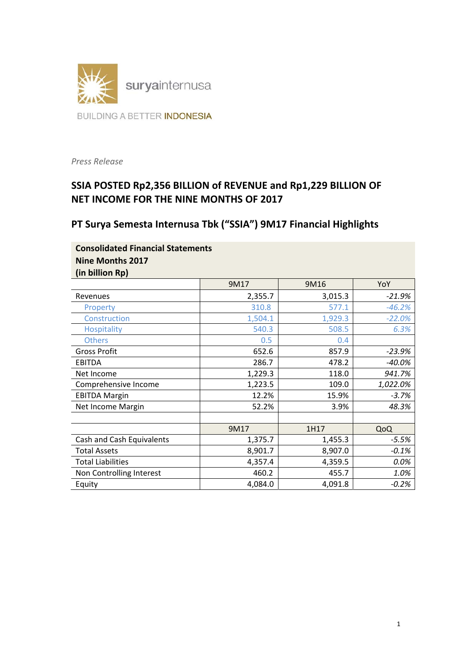

*Press Release* 

# **SSIA POSTED Rp2,356 BILLION of REVENUE and Rp1,229 BILLION OF NET INCOME FOR THE NINE MONTHS OF 2017**

# **PT Surya Semesta Internusa Tbk ("SSIA") 9M17 Financial Highlights**

| <b>Consolidated Financial Statements</b> |  |
|------------------------------------------|--|
| Nine Months 2017                         |  |
| (in billion Rp)                          |  |

|                           | 9M17    | 9M16    | YoY      |
|---------------------------|---------|---------|----------|
| Revenues                  | 2,355.7 | 3,015.3 | -21.9%   |
| Property                  | 310.8   | 577.1   | $-46.2%$ |
| Construction              | 1,504.1 | 1,929.3 | $-22.0%$ |
| <b>Hospitality</b>        | 540.3   | 508.5   | 6.3%     |
| <b>Others</b>             | 0.5     | 0.4     |          |
| <b>Gross Profit</b>       | 652.6   | 857.9   | $-23.9%$ |
| <b>EBITDA</b>             | 286.7   | 478.2   | $-40.0%$ |
| Net Income                | 1,229.3 | 118.0   | 941.7%   |
| Comprehensive Income      | 1,223.5 | 109.0   | 1,022.0% |
| <b>EBITDA Margin</b>      | 12.2%   | 15.9%   | $-3.7%$  |
| Net Income Margin         | 52.2%   | 3.9%    | 48.3%    |
|                           |         |         |          |
|                           | 9M17    | 1H17    | QoQ      |
| Cash and Cash Equivalents | 1,375.7 | 1,455.3 | $-5.5%$  |
| <b>Total Assets</b>       | 8,901.7 | 8,907.0 | $-0.1%$  |
| <b>Total Liabilities</b>  | 4,357.4 | 4,359.5 | 0.0%     |
| Non Controlling Interest  | 460.2   | 455.7   | 1.0%     |
| Equity                    | 4,084.0 | 4,091.8 | $-0.2%$  |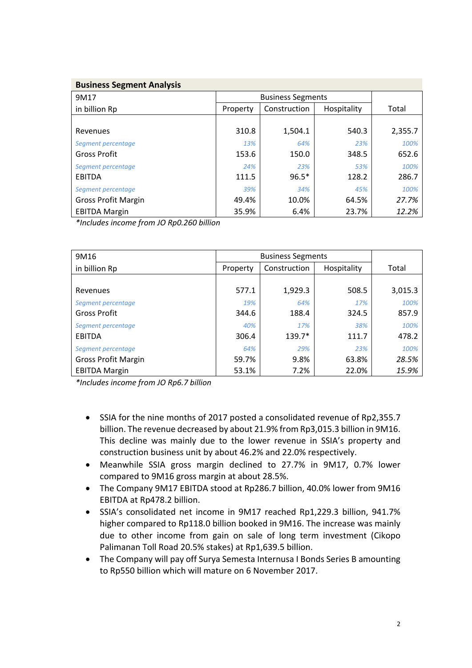| <b>Business Segment Analysis</b> |  |
|----------------------------------|--|
|                                  |  |

| 9M17                       | <b>Business Segments</b> |              |             |         |
|----------------------------|--------------------------|--------------|-------------|---------|
| in billion Rp              | Property                 | Construction | Hospitality | Total   |
|                            |                          |              |             |         |
| Revenues                   | 310.8                    | 1,504.1      | 540.3       | 2,355.7 |
| Segment percentage         | 13%                      | 64%          | 23%         | 100%    |
| <b>Gross Profit</b>        | 153.6                    | 150.0        | 348.5       | 652.6   |
| Segment percentage         | 24%                      | 23%          | 53%         | 100%    |
| <b>EBITDA</b>              | 111.5                    | $96.5*$      | 128.2       | 286.7   |
| Segment percentage         | 39%                      | 34%          | 45%         | 100%    |
| <b>Gross Profit Margin</b> | 49.4%                    | 10.0%        | 64.5%       | 27.7%   |
| <b>EBITDA Margin</b>       | 35.9%                    | 6.4%         | 23.7%       | 12.2%   |

*\*Includes income from JO Rp0.260 billion* 

| 9M16                       | <b>Business Segments</b> |              |             |         |
|----------------------------|--------------------------|--------------|-------------|---------|
| in billion Rp              | Property                 | Construction | Hospitality | Total   |
|                            |                          |              |             |         |
| Revenues                   | 577.1                    | 1,929.3      | 508.5       | 3,015.3 |
| Segment percentage         | 19%                      | 64%          | 17%         | 100%    |
| <b>Gross Profit</b>        | 344.6                    | 188.4        | 324.5       | 857.9   |
| Segment percentage         | 40%                      | 17%          | 38%         | 100%    |
| <b>EBITDA</b>              | 306.4                    | 139.7*       | 111.7       | 478.2   |
| Segment percentage         | 64%                      | 29%          | 23%         | 100%    |
| <b>Gross Profit Margin</b> | 59.7%                    | 9.8%         | 63.8%       | 28.5%   |
| <b>EBITDA Margin</b>       | 53.1%                    | 7.2%         | 22.0%       | 15.9%   |

*\*Includes income from JO Rp6.7 billion* 

- SSIA for the nine months of 2017 posted a consolidated revenue of Rp2,355.7 billion. The revenue decreased by about 21.9% from Rp3,015.3 billion in 9M16. This decline was mainly due to the lower revenue in SSIA's property and construction business unit by about 46.2% and 22.0% respectively.
- Meanwhile SSIA gross margin declined to 27.7% in 9M17, 0.7% lower compared to 9M16 gross margin at about 28.5%.
- The Company 9M17 EBITDA stood at Rp286.7 billion, 40.0% lower from 9M16 EBITDA at Rp478.2 billion.
- SSIA's consolidated net income in 9M17 reached Rp1,229.3 billion, 941.7% higher compared to Rp118.0 billion booked in 9M16. The increase was mainly due to other income from gain on sale of long term investment (Cikopo Palimanan Toll Road 20.5% stakes) at Rp1,639.5 billion.
- The Company will pay off Surya Semesta Internusa I Bonds Series B amounting to Rp550 billion which will mature on 6 November 2017.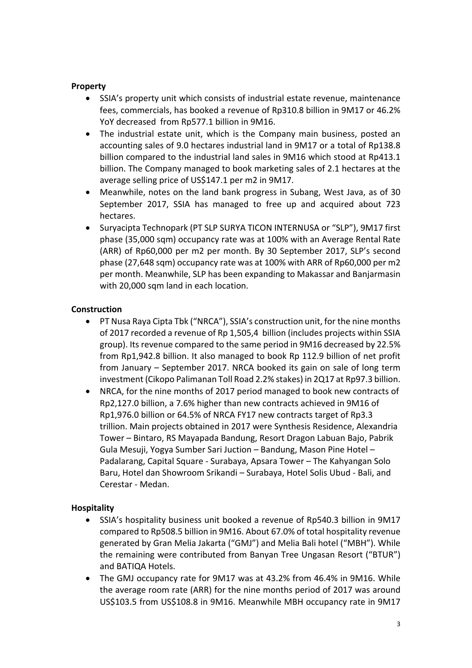#### **Property**

- SSIA's property unit which consists of industrial estate revenue, maintenance fees, commercials, has booked a revenue of Rp310.8 billion in 9M17 or 46.2% YoY decreased from Rp577.1 billion in 9M16.
- The industrial estate unit, which is the Company main business, posted an accounting sales of 9.0 hectares industrial land in 9M17 or a total of Rp138.8 billion compared to the industrial land sales in 9M16 which stood at Rp413.1 billion. The Company managed to book marketing sales of 2.1 hectares at the average selling price of US\$147.1 per m2 in 9M17.
- Meanwhile, notes on the land bank progress in Subang, West Java, as of 30 September 2017, SSIA has managed to free up and acquired about 723 hectares.
- Suryacipta Technopark (PT SLP SURYA TICON INTERNUSA or "SLP"), 9M17 first phase (35,000 sqm) occupancy rate was at 100% with an Average Rental Rate (ARR) of Rp60,000 per m2 per month. By 30 September 2017, SLP's second phase (27,648 sqm) occupancy rate was at 100% with ARR of Rp60,000 per m2 per month. Meanwhile, SLP has been expanding to Makassar and Banjarmasin with 20,000 sqm land in each location.

### **Construction**

- PT Nusa Raya Cipta Tbk ("NRCA"), SSIA's construction unit, for the nine months of 2017 recorded a revenue of Rp 1,505,4 billion (includes projects within SSIA group). Its revenue compared to the same period in 9M16 decreased by 22.5% from Rp1,942.8 billion. It also managed to book Rp 112.9 billion of net profit from January – September 2017. NRCA booked its gain on sale of long term investment (Cikopo Palimanan Toll Road 2.2% stakes) in 2Q17 at Rp97.3 billion.
- NRCA, for the nine months of 2017 period managed to book new contracts of Rp2,127.0 billion, a 7.6% higher than new contracts achieved in 9M16 of Rp1,976.0 billion or 64.5% of NRCA FY17 new contracts target of Rp3.3 trillion. Main projects obtained in 2017 were Synthesis Residence, Alexandria Tower – Bintaro, RS Mayapada Bandung, Resort Dragon Labuan Bajo, Pabrik Gula Mesuji, Yogya Sumber Sari Juction – Bandung, Mason Pine Hotel – Padalarang, Capital Square ‐ Surabaya, Apsara Tower – The Kahyangan Solo Baru, Hotel dan Showroom Srikandi – Surabaya, Hotel Solis Ubud ‐ Bali, and Cerestar ‐ Medan.

### **Hospitality**

- SSIA's hospitality business unit booked a revenue of Rp540.3 billion in 9M17 compared to Rp508.5 billion in 9M16. About 67.0% of total hospitality revenue generated by Gran Melia Jakarta ("GMJ") and Melia Bali hotel ("MBH"). While the remaining were contributed from Banyan Tree Ungasan Resort ("BTUR") and BATIQA Hotels.
- The GMJ occupancy rate for 9M17 was at 43.2% from 46.4% in 9M16. While the average room rate (ARR) for the nine months period of 2017 was around US\$103.5 from US\$108.8 in 9M16. Meanwhile MBH occupancy rate in 9M17